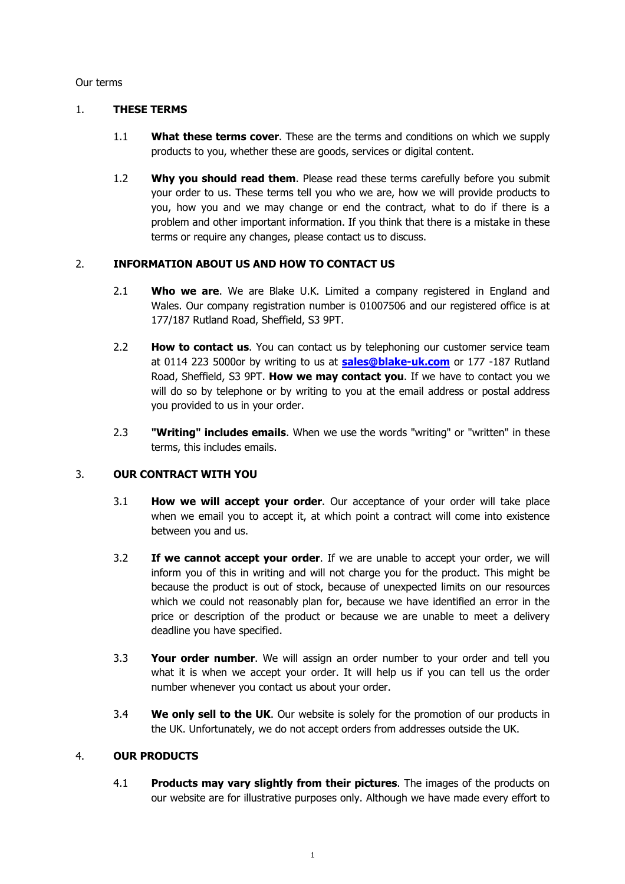#### Our terms

#### 1. **THESE TERMS**

- 1.1 **What these terms cover**. These are the terms and conditions on which we supply products to you, whether these are goods, services or digital content.
- 1.2 **Why you should read them**. Please read these terms carefully before you submit your order to us. These terms tell you who we are, how we will provide products to you, how you and we may change or end the contract, what to do if there is a problem and other important information. If you think that there is a mistake in these terms or require any changes, please contact us to discuss.

#### 2. **INFORMATION ABOUT US AND HOW TO CONTACT US**

- 2.1 **Who we are**. We are Blake U.K. Limited a company registered in England and Wales. Our company registration number is 01007506 and our registered office is at 177/187 Rutland Road, Sheffield, S3 9PT.
- 2.2 **How to contact us**. You can contact us by telephoning our customer service team at 0114 223 5000or by writing to us at **sales@blake-uk.com** or 177 -187 Rutland Road, Sheffield, S3 9PT. **How we may contact you**. If we have to contact you we will do so by telephone or by writing to you at the email address or postal address you provided to us in your order.
- 2.3 **"Writing" includes emails**. When we use the words "writing" or "written" in these terms, this includes emails.

## 3. **OUR CONTRACT WITH YOU**

- 3.1 **How we will accept your order**. Our acceptance of your order will take place when we email you to accept it, at which point a contract will come into existence between you and us.
- 3.2 **If we cannot accept your order**. If we are unable to accept your order, we will inform you of this in writing and will not charge you for the product. This might be because the product is out of stock, because of unexpected limits on our resources which we could not reasonably plan for, because we have identified an error in the price or description of the product or because we are unable to meet a delivery deadline you have specified.
- 3.3 **Your order number**. We will assign an order number to your order and tell you what it is when we accept your order. It will help us if you can tell us the order number whenever you contact us about your order.
- 3.4 **We only sell to the UK**. Our website is solely for the promotion of our products in the UK. Unfortunately, we do not accept orders from addresses outside the UK.

### 4. **OUR PRODUCTS**

4.1 **Products may vary slightly from their pictures**. The images of the products on our website are for illustrative purposes only. Although we have made every effort to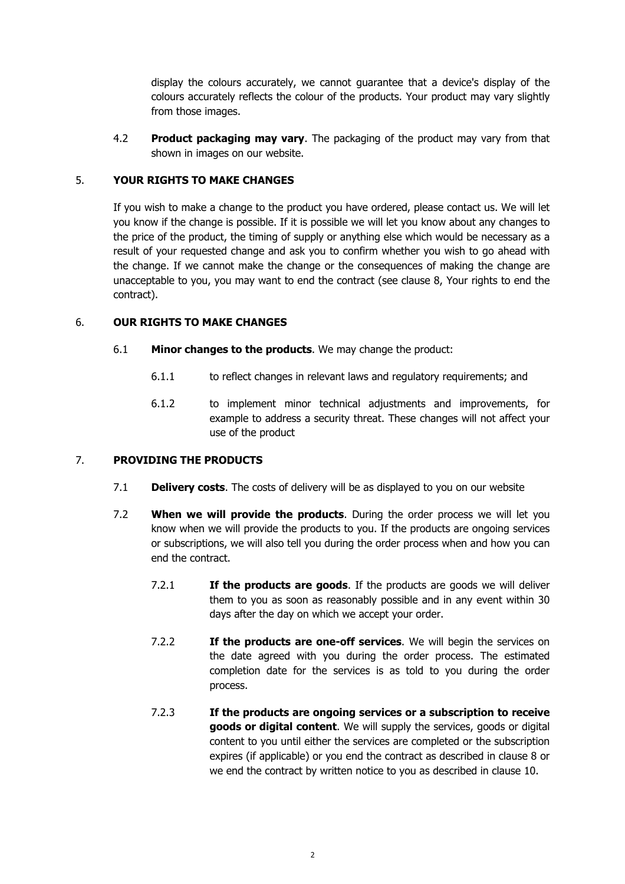display the colours accurately, we cannot guarantee that a device's display of the colours accurately reflects the colour of the products. Your product may vary slightly from those images.

4.2 **Product packaging may vary**. The packaging of the product may vary from that shown in images on our website.

### 5. **YOUR RIGHTS TO MAKE CHANGES**

If you wish to make a change to the product you have ordered, please contact us. We will let you know if the change is possible. If it is possible we will let you know about any changes to the price of the product, the timing of supply or anything else which would be necessary as a result of your requested change and ask you to confirm whether you wish to go ahead with the change. If we cannot make the change or the consequences of making the change are unacceptable to you, you may want to end the contract (see clause 8, Your rights to end the contract).

#### 6. **OUR RIGHTS TO MAKE CHANGES**

- 6.1 **Minor changes to the products**. We may change the product:
	- 6.1.1 to reflect changes in relevant laws and regulatory requirements; and
	- 6.1.2 to implement minor technical adjustments and improvements, for example to address a security threat. These changes will not affect your use of the product

## 7. **PROVIDING THE PRODUCTS**

- 7.1 **Delivery costs**. The costs of delivery will be as displayed to you on our website
- 7.2 **When we will provide the products**. During the order process we will let you know when we will provide the products to you. If the products are ongoing services or subscriptions, we will also tell you during the order process when and how you can end the contract.
	- 7.2.1 **If the products are goods**. If the products are goods we will deliver them to you as soon as reasonably possible and in any event within 30 days after the day on which we accept your order.
	- 7.2.2 **If the products are one-off services**. We will begin the services on the date agreed with you during the order process. The estimated completion date for the services is as told to you during the order process.
	- 7.2.3 **If the products are ongoing services or a subscription to receive goods or digital content**. We will supply the services, goods or digital content to you until either the services are completed or the subscription expires (if applicable) or you end the contract as described in clause 8 or we end the contract by written notice to you as described in clause 10.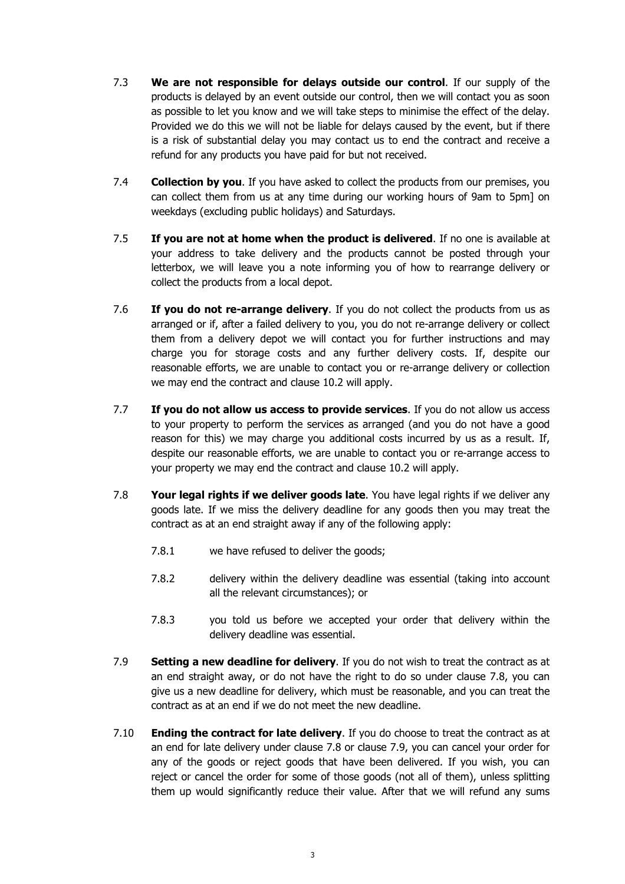- 7.3 **We are not responsible for delays outside our control**. If our supply of the products is delayed by an event outside our control, then we will contact you as soon as possible to let you know and we will take steps to minimise the effect of the delay. Provided we do this we will not be liable for delays caused by the event, but if there is a risk of substantial delay you may contact us to end the contract and receive a refund for any products you have paid for but not received.
- 7.4 **Collection by you**. If you have asked to collect the products from our premises, you can collect them from us at any time during our working hours of 9am to 5pm] on weekdays (excluding public holidays) and Saturdays.
- 7.5 **If you are not at home when the product is delivered**. If no one is available at your address to take delivery and the products cannot be posted through your letterbox, we will leave you a note informing you of how to rearrange delivery or collect the products from a local depot.
- 7.6 **If you do not re-arrange delivery**. If you do not collect the products from us as arranged or if, after a failed delivery to you, you do not re-arrange delivery or collect them from a delivery depot we will contact you for further instructions and may charge you for storage costs and any further delivery costs. If, despite our reasonable efforts, we are unable to contact you or re-arrange delivery or collection we may end the contract and clause 10.2 will apply.
- 7.7 **If you do not allow us access to provide services**. If you do not allow us access to your property to perform the services as arranged (and you do not have a good reason for this) we may charge you additional costs incurred by us as a result. If, despite our reasonable efforts, we are unable to contact you or re-arrange access to your property we may end the contract and clause 10.2 will apply.
- 7.8 **Your legal rights if we deliver goods late**. You have legal rights if we deliver any goods late. If we miss the delivery deadline for any goods then you may treat the contract as at an end straight away if any of the following apply:
	- 7.8.1 we have refused to deliver the goods;
	- 7.8.2 delivery within the delivery deadline was essential (taking into account all the relevant circumstances); or
	- 7.8.3 you told us before we accepted your order that delivery within the delivery deadline was essential.
- 7.9 **Setting a new deadline for delivery**. If you do not wish to treat the contract as at an end straight away, or do not have the right to do so under clause 7.8, you can give us a new deadline for delivery, which must be reasonable, and you can treat the contract as at an end if we do not meet the new deadline.
- 7.10 **Ending the contract for late delivery**. If you do choose to treat the contract as at an end for late delivery under clause 7.8 or clause 7.9, you can cancel your order for any of the goods or reject goods that have been delivered. If you wish, you can reject or cancel the order for some of those goods (not all of them), unless splitting them up would significantly reduce their value. After that we will refund any sums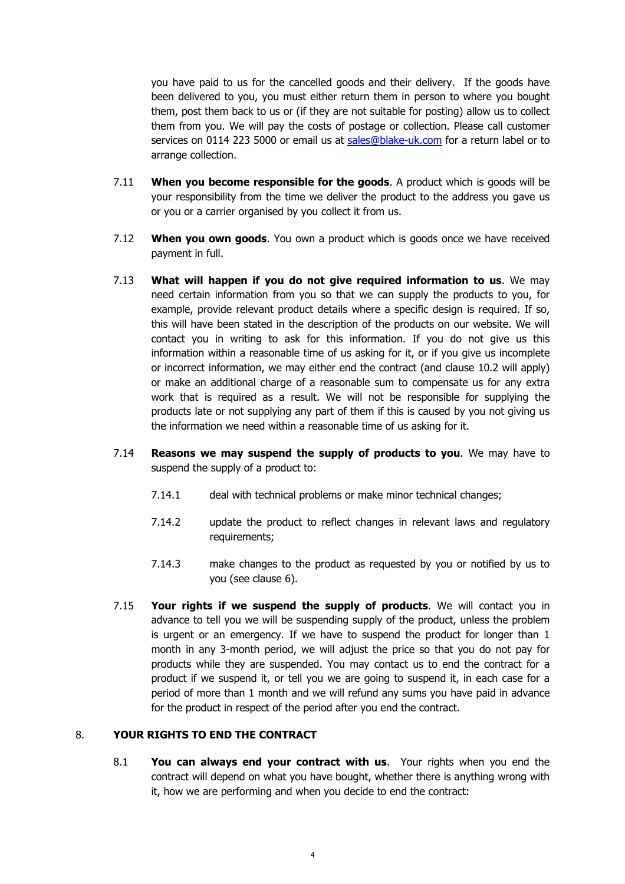you have paid to us for the cancelled goods and their delivery. If the goods have been delivered to you, you must either return them in person to where you bought them, post them back to us or (if they are not suitable for posting) allow us to collect them from you. We will pay the costs of postage or collection. Please call customer services on 0114 223 5000 or email us at sales@blake-uk.com for a return label or to arrange collection.

- 7.11 **When you become responsible for the goods**. A product which is goods will be your responsibility from the time we deliver the product to the address you gave us or you or a carrier organised by you collect it from us.
- 7.12 **When you own goods**. You own a product which is goods once we have received payment in full.
- 7.13 **What will happen if you do not give required information to us**. We may need certain information from you so that we can supply the products to you, for example, provide relevant product details where a specific design is required. If so, this will have been stated in the description of the products on our website. We will contact you in writing to ask for this information. If you do not give us this information within a reasonable time of us asking for it, or if you give us incomplete or incorrect information, we may either end the contract (and clause 10.2 will apply) or make an additional charge of a reasonable sum to compensate us for any extra work that is required as a result. We will not be responsible for supplying the products late or not supplying any part of them if this is caused by you not giving us the information we need within a reasonable time of us asking for it.
- 7.14 **Reasons we may suspend the supply of products to you**. We may have to suspend the supply of a product to:
	- 7.14.1 deal with technical problems or make minor technical changes;
	- 7.14.2 update the product to reflect changes in relevant laws and regulatory requirements;
	- 7.14.3 make changes to the product as requested by you or notified by us to you (see clause 6).
- 7.15 **Your rights if we suspend the supply of products**. We will contact you in advance to tell you we will be suspending supply of the product, unless the problem is urgent or an emergency. If we have to suspend the product for longer than 1 month in any 3-month period, we will adjust the price so that you do not pay for products while they are suspended. You may contact us to end the contract for a product if we suspend it, or tell you we are going to suspend it, in each case for a period of more than 1 month and we will refund any sums you have paid in advance for the product in respect of the period after you end the contract.

#### 8. **YOUR RIGHTS TO END THE CONTRACT**

8.1 **You can always end your contract with us**. Your rights when you end the contract will depend on what you have bought, whether there is anything wrong with it, how we are performing and when you decide to end the contract: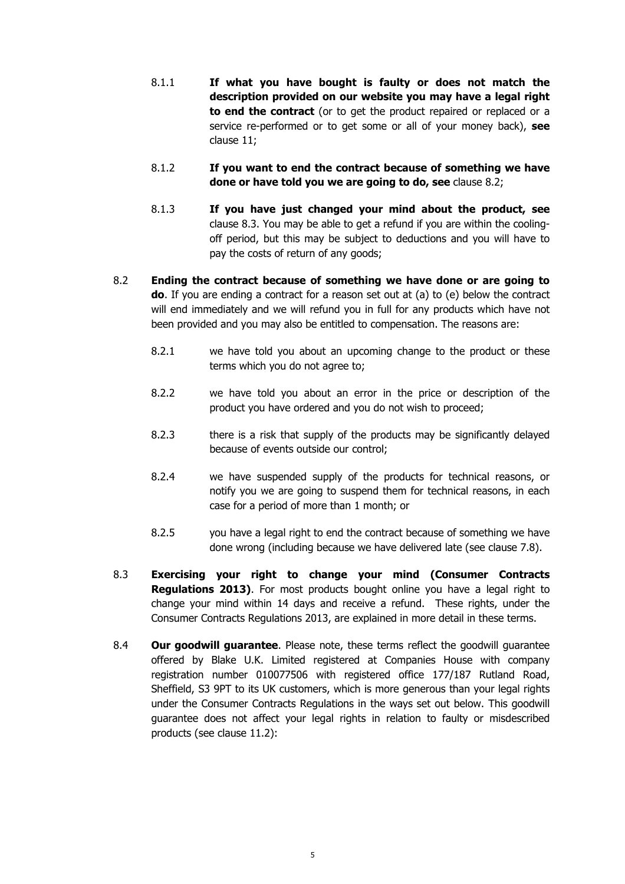- 8.1.1 **If what you have bought is faulty or does not match the description provided on our website you may have a legal right to end the contract** (or to get the product repaired or replaced or a service re-performed or to get some or all of your money back), **see**  clause 11;
- 8.1.2 **If you want to end the contract because of something we have done or have told you we are going to do, see** clause 8.2;
- 8.1.3 **If you have just changed your mind about the product, see**  clause 8.3. You may be able to get a refund if you are within the coolingoff period, but this may be subject to deductions and you will have to pay the costs of return of any goods;
- 8.2 **Ending the contract because of something we have done or are going to do**. If you are ending a contract for a reason set out at (a) to (e) below the contract will end immediately and we will refund you in full for any products which have not been provided and you may also be entitled to compensation. The reasons are:
	- 8.2.1 we have told you about an upcoming change to the product or these terms which you do not agree to;
	- 8.2.2 we have told you about an error in the price or description of the product you have ordered and you do not wish to proceed;
	- 8.2.3 there is a risk that supply of the products may be significantly delayed because of events outside our control;
	- 8.2.4 we have suspended supply of the products for technical reasons, or notify you we are going to suspend them for technical reasons, in each case for a period of more than 1 month; or
	- 8.2.5 you have a legal right to end the contract because of something we have done wrong (including because we have delivered late (see clause 7.8).
- 8.3 **Exercising your right to change your mind (Consumer Contracts Regulations 2013)**. For most products bought online you have a legal right to change your mind within 14 days and receive a refund. These rights, under the Consumer Contracts Regulations 2013, are explained in more detail in these terms.
- 8.4 **Our goodwill guarantee**. Please note, these terms reflect the goodwill guarantee offered by Blake U.K. Limited registered at Companies House with company registration number 010077506 with registered office 177/187 Rutland Road, Sheffield, S3 9PT to its UK customers, which is more generous than your legal rights under the Consumer Contracts Regulations in the ways set out below. This goodwill guarantee does not affect your legal rights in relation to faulty or misdescribed products (see clause 11.2):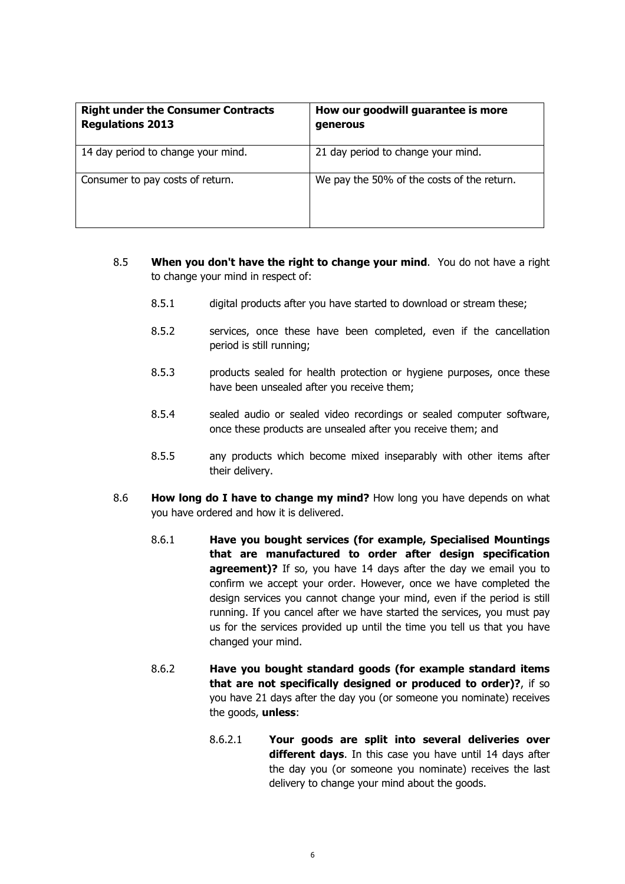| <b>Right under the Consumer Contracts</b><br><b>Regulations 2013</b> | How our goodwill guarantee is more<br>generous |
|----------------------------------------------------------------------|------------------------------------------------|
| 14 day period to change your mind.                                   | 21 day period to change your mind.             |
| Consumer to pay costs of return.                                     | We pay the 50% of the costs of the return.     |

- 8.5 **When you don't have the right to change your mind**. You do not have a right to change your mind in respect of:
	- 8.5.1 digital products after you have started to download or stream these;
	- 8.5.2 services, once these have been completed, even if the cancellation period is still running;
	- 8.5.3 products sealed for health protection or hygiene purposes, once these have been unsealed after you receive them;
	- 8.5.4 sealed audio or sealed video recordings or sealed computer software, once these products are unsealed after you receive them; and
	- 8.5.5 any products which become mixed inseparably with other items after their delivery.
- 8.6 **How long do I have to change my mind?** How long you have depends on what you have ordered and how it is delivered.
	- 8.6.1 **Have you bought services (for example, Specialised Mountings that are manufactured to order after design specification agreement)?** If so, you have 14 days after the day we email you to confirm we accept your order. However, once we have completed the design services you cannot change your mind, even if the period is still running. If you cancel after we have started the services, you must pay us for the services provided up until the time you tell us that you have changed your mind.
	- 8.6.2 **Have you bought standard goods (for example standard items that are not specifically designed or produced to order)?**, if so you have 21 days after the day you (or someone you nominate) receives the goods, **unless**:
		- 8.6.2.1 **Your goods are split into several deliveries over different days**. In this case you have until 14 days after the day you (or someone you nominate) receives the last delivery to change your mind about the goods.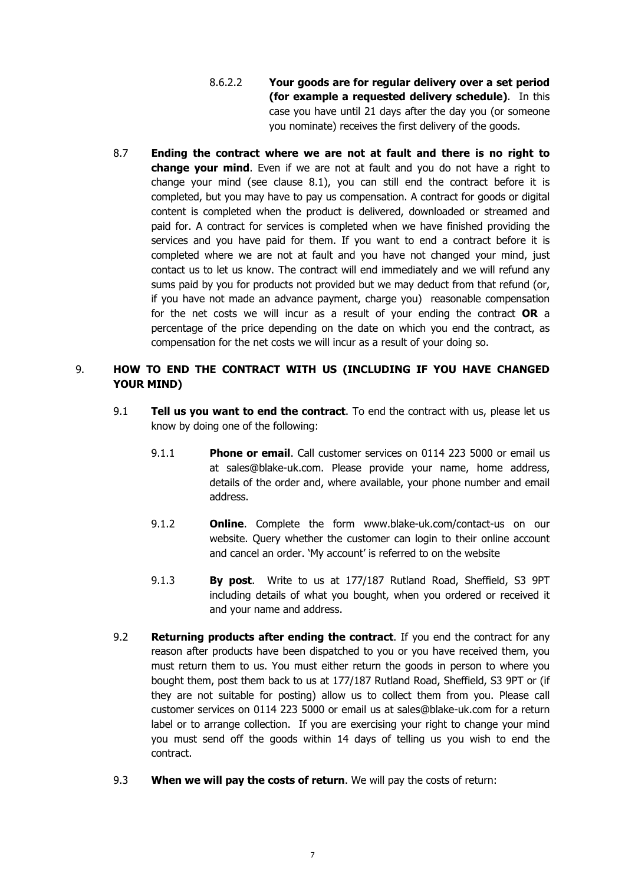- 8.6.2.2 **Your goods are for regular delivery over a set period (for example a requested delivery schedule)**. In this case you have until 21 days after the day you (or someone you nominate) receives the first delivery of the goods.
- 8.7 **Ending the contract where we are not at fault and there is no right to change your mind**. Even if we are not at fault and you do not have a right to change your mind (see clause 8.1), you can still end the contract before it is completed, but you may have to pay us compensation. A contract for goods or digital content is completed when the product is delivered, downloaded or streamed and paid for. A contract for services is completed when we have finished providing the services and you have paid for them. If you want to end a contract before it is completed where we are not at fault and you have not changed your mind, just contact us to let us know. The contract will end immediately and we will refund any sums paid by you for products not provided but we may deduct from that refund (or, if you have not made an advance payment, charge you) reasonable compensation for the net costs we will incur as a result of your ending the contract **OR** a percentage of the price depending on the date on which you end the contract, as compensation for the net costs we will incur as a result of your doing so.

## 9. **HOW TO END THE CONTRACT WITH US (INCLUDING IF YOU HAVE CHANGED YOUR MIND)**

- 9.1 **Tell us you want to end the contract**. To end the contract with us, please let us know by doing one of the following:
	- 9.1.1 **Phone or email**. Call customer services on 0114 223 5000 or email us at sales@blake-uk.com. Please provide your name, home address, details of the order and, where available, your phone number and email address.
	- 9.1.2 **Online**. Complete the form www.blake-uk.com/contact-us on our website. Query whether the customer can login to their online account and cancel an order. 'My account' is referred to on the website
	- 9.1.3 **By post**. Write to us at 177/187 Rutland Road, Sheffield, S3 9PT including details of what you bought, when you ordered or received it and your name and address.
- 9.2 **Returning products after ending the contract**. If you end the contract for any reason after products have been dispatched to you or you have received them, you must return them to us. You must either return the goods in person to where you bought them, post them back to us at 177/187 Rutland Road, Sheffield, S3 9PT or (if they are not suitable for posting) allow us to collect them from you. Please call customer services on 0114 223 5000 or email us at sales@blake-uk.com for a return label or to arrange collection. If you are exercising your right to change your mind you must send off the goods within 14 days of telling us you wish to end the contract.
- 9.3 **When we will pay the costs of return**. We will pay the costs of return: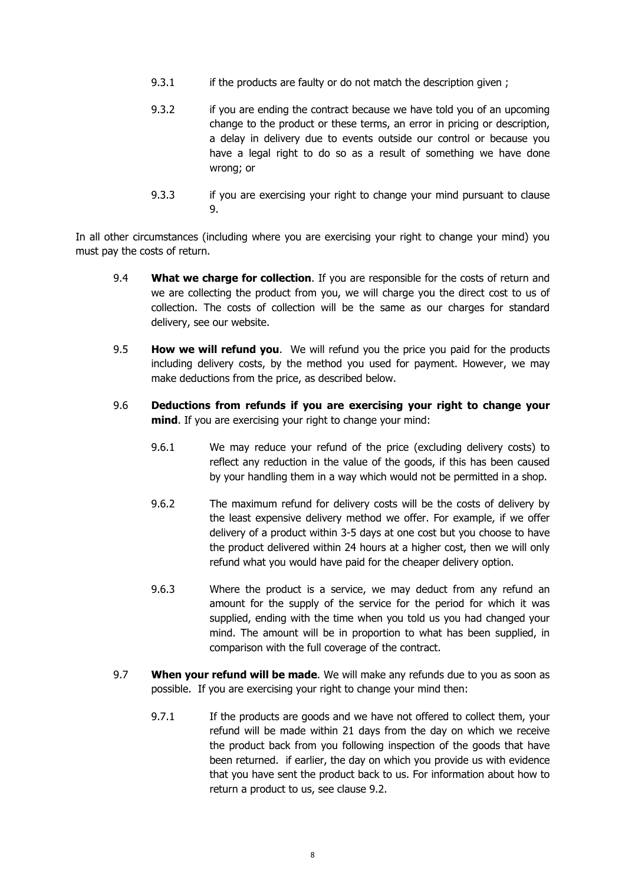- 9.3.1 if the products are faulty or do not match the description given ;
- 9.3.2 if you are ending the contract because we have told you of an upcoming change to the product or these terms, an error in pricing or description, a delay in delivery due to events outside our control or because you have a legal right to do so as a result of something we have done wrong; or
- 9.3.3 if you are exercising your right to change your mind pursuant to clause 9.

In all other circumstances (including where you are exercising your right to change your mind) you must pay the costs of return.

- 9.4 **What we charge for collection**. If you are responsible for the costs of return and we are collecting the product from you, we will charge you the direct cost to us of collection. The costs of collection will be the same as our charges for standard delivery, see our website.
- 9.5 **How we will refund you**. We will refund you the price you paid for the products including delivery costs, by the method you used for payment. However, we may make deductions from the price, as described below.
- 9.6 **Deductions from refunds if you are exercising your right to change your mind**. If you are exercising your right to change your mind:
	- 9.6.1 We may reduce your refund of the price (excluding delivery costs) to reflect any reduction in the value of the goods, if this has been caused by your handling them in a way which would not be permitted in a shop.
	- 9.6.2 The maximum refund for delivery costs will be the costs of delivery by the least expensive delivery method we offer. For example, if we offer delivery of a product within 3-5 days at one cost but you choose to have the product delivered within 24 hours at a higher cost, then we will only refund what you would have paid for the cheaper delivery option.
	- 9.6.3 Where the product is a service, we may deduct from any refund an amount for the supply of the service for the period for which it was supplied, ending with the time when you told us you had changed your mind. The amount will be in proportion to what has been supplied, in comparison with the full coverage of the contract.
- 9.7 **When your refund will be made**. We will make any refunds due to you as soon as possible. If you are exercising your right to change your mind then:
	- 9.7.1 If the products are goods and we have not offered to collect them, your refund will be made within 21 days from the day on which we receive the product back from you following inspection of the goods that have been returned. if earlier, the day on which you provide us with evidence that you have sent the product back to us. For information about how to return a product to us, see clause 9.2.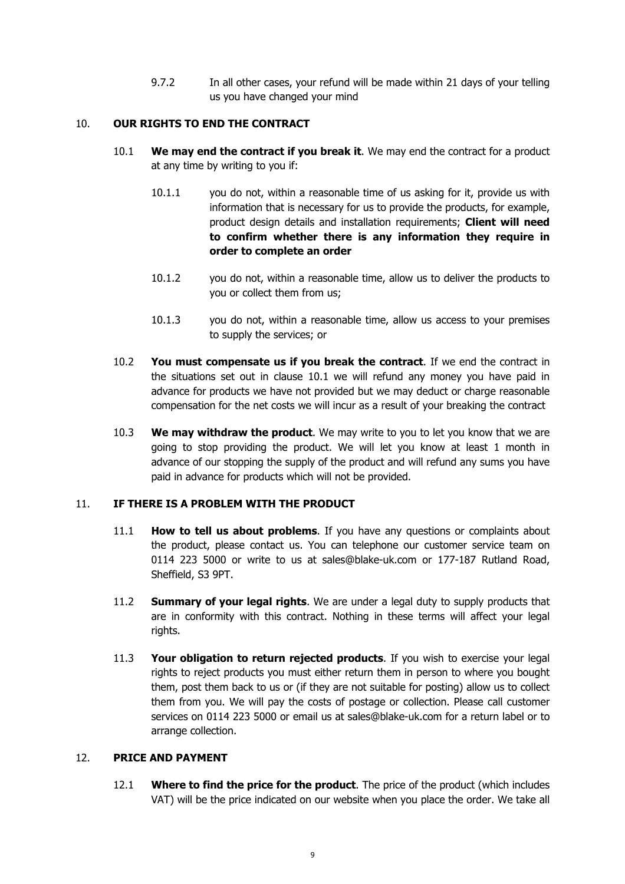9.7.2 In all other cases, your refund will be made within 21 days of your telling us you have changed your mind

## 10. **OUR RIGHTS TO END THE CONTRACT**

- 10.1 **We may end the contract if you break it**. We may end the contract for a product at any time by writing to you if:
	- 10.1.1 you do not, within a reasonable time of us asking for it, provide us with information that is necessary for us to provide the products, for example, product design details and installation requirements; **Client will need to confirm whether there is any information they require in order to complete an order**
	- 10.1.2 you do not, within a reasonable time, allow us to deliver the products to you or collect them from us;
	- 10.1.3 you do not, within a reasonable time, allow us access to your premises to supply the services; or
- 10.2 **You must compensate us if you break the contract**. If we end the contract in the situations set out in clause 10.1 we will refund any money you have paid in advance for products we have not provided but we may deduct or charge reasonable compensation for the net costs we will incur as a result of your breaking the contract
- 10.3 **We may withdraw the product**. We may write to you to let you know that we are going to stop providing the product. We will let you know at least 1 month in advance of our stopping the supply of the product and will refund any sums you have paid in advance for products which will not be provided.

#### 11. **IF THERE IS A PROBLEM WITH THE PRODUCT**

- 11.1 **How to tell us about problems**. If you have any questions or complaints about the product, please contact us. You can telephone our customer service team on 0114 223 5000 or write to us at sales@blake-uk.com or 177-187 Rutland Road, Sheffield, S3 9PT.
- 11.2 **Summary of your legal rights**. We are under a legal duty to supply products that are in conformity with this contract. Nothing in these terms will affect your legal rights.
- 11.3 **Your obligation to return rejected products**. If you wish to exercise your legal rights to reject products you must either return them in person to where you bought them, post them back to us or (if they are not suitable for posting) allow us to collect them from you. We will pay the costs of postage or collection. Please call customer services on 0114 223 5000 or email us at sales@blake-uk.com for a return label or to arrange collection.

#### 12. **PRICE AND PAYMENT**

12.1 **Where to find the price for the product**. The price of the product (which includes VAT) will be the price indicated on our website when you place the order. We take all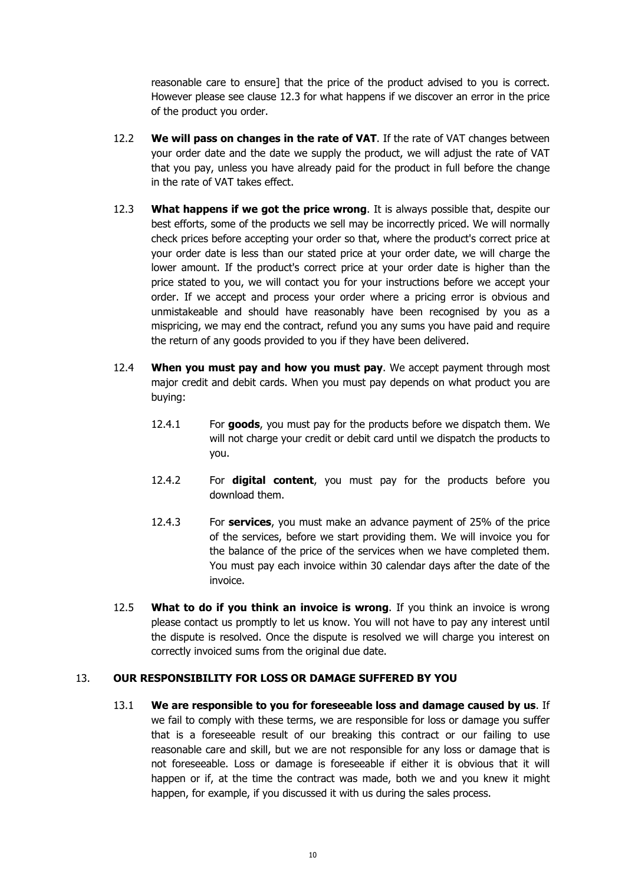reasonable care to ensure] that the price of the product advised to you is correct. However please see clause 12.3 for what happens if we discover an error in the price of the product you order.

- 12.2 **We will pass on changes in the rate of VAT**. If the rate of VAT changes between your order date and the date we supply the product, we will adjust the rate of VAT that you pay, unless you have already paid for the product in full before the change in the rate of VAT takes effect.
- 12.3 **What happens if we got the price wrong**. It is always possible that, despite our best efforts, some of the products we sell may be incorrectly priced. We will normally check prices before accepting your order so that, where the product's correct price at your order date is less than our stated price at your order date, we will charge the lower amount. If the product's correct price at your order date is higher than the price stated to you, we will contact you for your instructions before we accept your order. If we accept and process your order where a pricing error is obvious and unmistakeable and should have reasonably have been recognised by you as a mispricing, we may end the contract, refund you any sums you have paid and require the return of any goods provided to you if they have been delivered.
- 12.4 **When you must pay and how you must pay**. We accept payment through most major credit and debit cards. When you must pay depends on what product you are buying:
	- 12.4.1 For **goods**, you must pay for the products before we dispatch them. We will not charge your credit or debit card until we dispatch the products to you.
	- 12.4.2 For **digital content**, you must pay for the products before you download them.
	- 12.4.3 For **services**, you must make an advance payment of 25% of the price of the services, before we start providing them. We will invoice you for the balance of the price of the services when we have completed them. You must pay each invoice within 30 calendar days after the date of the invoice.
- 12.5 **What to do if you think an invoice is wrong**. If you think an invoice is wrong please contact us promptly to let us know. You will not have to pay any interest until the dispute is resolved. Once the dispute is resolved we will charge you interest on correctly invoiced sums from the original due date.

## 13. **OUR RESPONSIBILITY FOR LOSS OR DAMAGE SUFFERED BY YOU**

13.1 **We are responsible to you for foreseeable loss and damage caused by us**. If we fail to comply with these terms, we are responsible for loss or damage you suffer that is a foreseeable result of our breaking this contract or our failing to use reasonable care and skill, but we are not responsible for any loss or damage that is not foreseeable. Loss or damage is foreseeable if either it is obvious that it will happen or if, at the time the contract was made, both we and you knew it might happen, for example, if you discussed it with us during the sales process.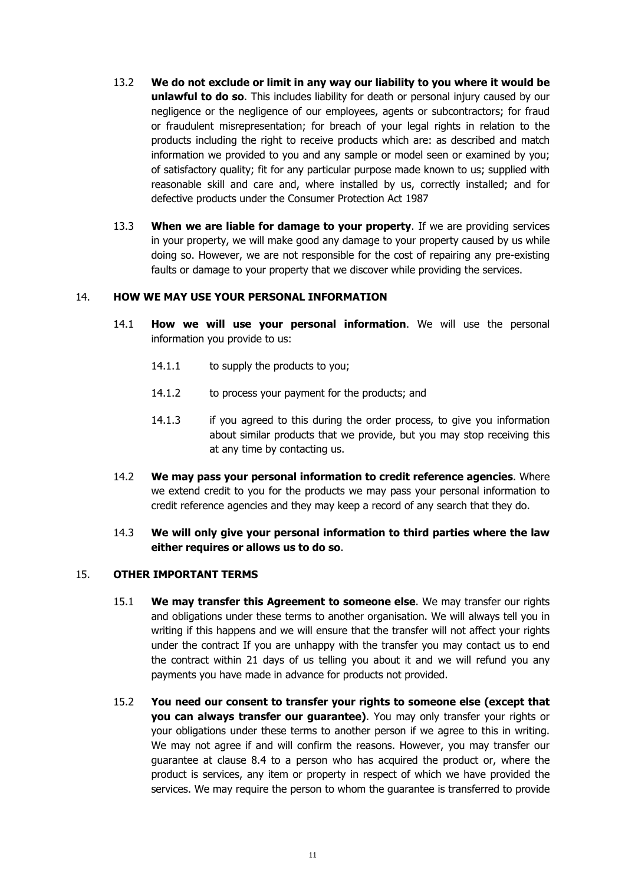- 13.2 **We do not exclude or limit in any way our liability to you where it would be unlawful to do so**. This includes liability for death or personal injury caused by our negligence or the negligence of our employees, agents or subcontractors; for fraud or fraudulent misrepresentation; for breach of your legal rights in relation to the products including the right to receive products which are: as described and match information we provided to you and any sample or model seen or examined by you; of satisfactory quality; fit for any particular purpose made known to us; supplied with reasonable skill and care and, where installed by us, correctly installed; and for defective products under the Consumer Protection Act 1987
- 13.3 **When we are liable for damage to your property**. If we are providing services in your property, we will make good any damage to your property caused by us while doing so. However, we are not responsible for the cost of repairing any pre-existing faults or damage to your property that we discover while providing the services.

#### 14. **HOW WE MAY USE YOUR PERSONAL INFORMATION**

- 14.1 **How we will use your personal information**. We will use the personal information you provide to us:
	- 14.1.1 to supply the products to you;
	- 14.1.2 to process your payment for the products; and
	- 14.1.3 if you agreed to this during the order process, to give you information about similar products that we provide, but you may stop receiving this at any time by contacting us.
- 14.2 **We may pass your personal information to credit reference agencies**. Where we extend credit to you for the products we may pass your personal information to credit reference agencies and they may keep a record of any search that they do.

## 14.3 **We will only give your personal information to third parties where the law either requires or allows us to do so**.

#### 15. **OTHER IMPORTANT TERMS**

- 15.1 **We may transfer this Agreement to someone else**. We may transfer our rights and obligations under these terms to another organisation. We will always tell you in writing if this happens and we will ensure that the transfer will not affect your rights under the contract If you are unhappy with the transfer you may contact us to end the contract within 21 days of us telling you about it and we will refund you any payments you have made in advance for products not provided.
- 15.2 **You need our consent to transfer your rights to someone else (except that you can always transfer our guarantee)**. You may only transfer your rights or your obligations under these terms to another person if we agree to this in writing. We may not agree if and will confirm the reasons. However, you may transfer our guarantee at clause 8.4 to a person who has acquired the product or, where the product is services, any item or property in respect of which we have provided the services. We may require the person to whom the guarantee is transferred to provide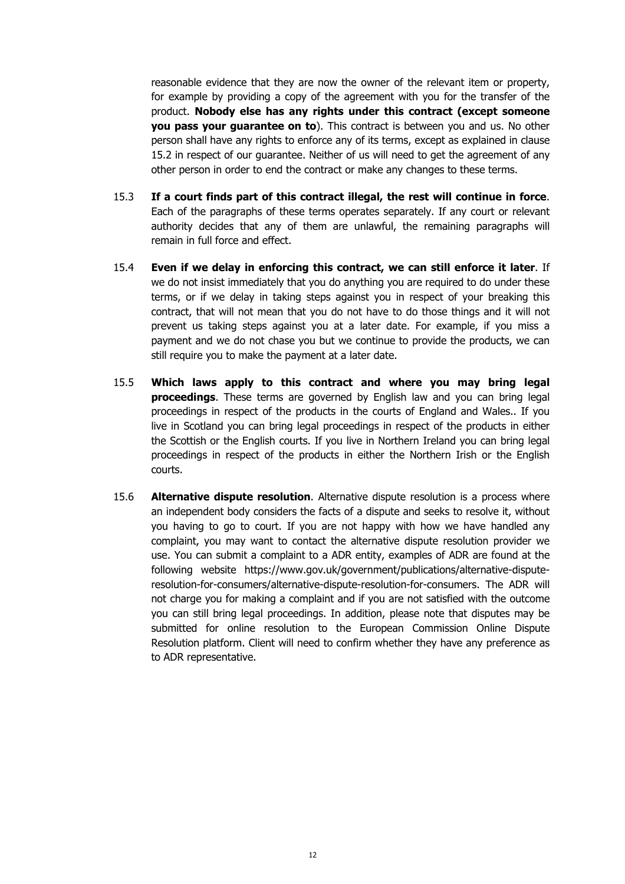reasonable evidence that they are now the owner of the relevant item or property, for example by providing a copy of the agreement with you for the transfer of the product. **Nobody else has any rights under this contract (except someone you pass your guarantee on to**). This contract is between you and us. No other person shall have any rights to enforce any of its terms, except as explained in clause 15.2 in respect of our guarantee. Neither of us will need to get the agreement of any other person in order to end the contract or make any changes to these terms.

- 15.3 **If a court finds part of this contract illegal, the rest will continue in force**. Each of the paragraphs of these terms operates separately. If any court or relevant authority decides that any of them are unlawful, the remaining paragraphs will remain in full force and effect.
- 15.4 **Even if we delay in enforcing this contract, we can still enforce it later**. If we do not insist immediately that you do anything you are required to do under these terms, or if we delay in taking steps against you in respect of your breaking this contract, that will not mean that you do not have to do those things and it will not prevent us taking steps against you at a later date. For example, if you miss a payment and we do not chase you but we continue to provide the products, we can still require you to make the payment at a later date.
- 15.5 **Which laws apply to this contract and where you may bring legal proceedings**. These terms are governed by English law and you can bring legal proceedings in respect of the products in the courts of England and Wales.. If you live in Scotland you can bring legal proceedings in respect of the products in either the Scottish or the English courts. If you live in Northern Ireland you can bring legal proceedings in respect of the products in either the Northern Irish or the English courts.
- 15.6 **Alternative dispute resolution**. Alternative dispute resolution is a process where an independent body considers the facts of a dispute and seeks to resolve it, without you having to go to court. If you are not happy with how we have handled any complaint, you may want to contact the alternative dispute resolution provider we use. You can submit a complaint to a ADR entity, examples of ADR are found at the following website https://www.gov.uk/government/publications/alternative-disputeresolution-for-consumers/alternative-dispute-resolution-for-consumers. The ADR will not charge you for making a complaint and if you are not satisfied with the outcome you can still bring legal proceedings. In addition, please note that disputes may be submitted for online resolution to the European Commission Online Dispute Resolution platform. Client will need to confirm whether they have any preference as to ADR representative.